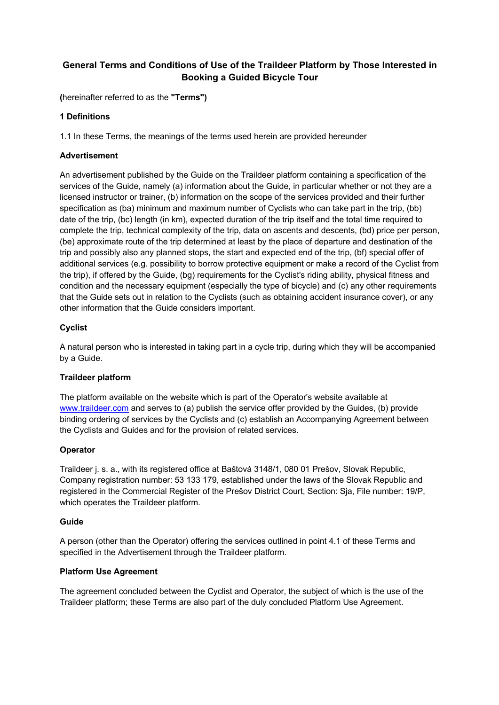# **General Terms and Conditions of Use of the Traildeer Platform by Those Interested in Booking a Guided Bicycle Tour**

**(**hereinafter referred to as the **"Terms")**

## **1 Definitions**

1.1 In these Terms, the meanings of the terms used herein are provided hereunder

### **Advertisement**

An advertisement published by the Guide on the Traildeer platform containing a specification of the services of the Guide, namely (a) information about the Guide, in particular whether or not they are a licensed instructor or trainer, (b) information on the scope of the services provided and their further specification as (ba) minimum and maximum number of Cyclists who can take part in the trip, (bb) date of the trip, (bc) length (in km), expected duration of the trip itself and the total time required to complete the trip, technical complexity of the trip, data on ascents and descents, (bd) price per person, (be) approximate route of the trip determined at least by the place of departure and destination of the trip and possibly also any planned stops, the start and expected end of the trip, (bf) special offer of additional services (e.g. possibility to borrow protective equipment or make a record of the Cyclist from the trip), if offered by the Guide, (bg) requirements for the Cyclist's riding ability, physical fitness and condition and the necessary equipment (especially the type of bicycle) and (c) any other requirements that the Guide sets out in relation to the Cyclists (such as obtaining accident insurance cover), or any other information that the Guide considers important.

### **Cyclist**

A natural person who is interested in taking part in a cycle trip, during which they will be accompanied by a Guide.

### **Traildeer platform**

The platform available on the website which is part of the Operator's website available at www.traildeer.com and serves to (a) publish the service offer provided by the Guides, (b) provide binding ordering of services by the Cyclists and (c) establish an Accompanying Agreement between the Cyclists and Guides and for the provision of related services.

### **Operator**

Traildeer j. s. a., with its registered office at Baštová 3148/1, 080 01 Prešov, Slovak Republic, Company registration number: 53 133 179, established under the laws of the Slovak Republic and registered in the Commercial Register of the Prešov District Court, Section: Sja, File number: 19/P, which operates the Traildeer platform.

### **Guide**

A person (other than the Operator) offering the services outlined in point 4.1 of these Terms and specified in the Advertisement through the Traildeer platform.

### **Platform Use Agreement**

The agreement concluded between the Cyclist and Operator, the subject of which is the use of the Traildeer platform; these Terms are also part of the duly concluded Platform Use Agreement.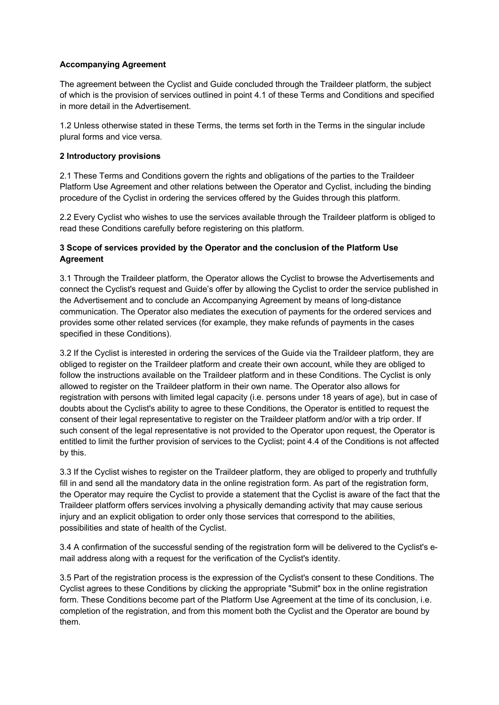## **Accompanying Agreement**

The agreement between the Cyclist and Guide concluded through the Traildeer platform, the subject of which is the provision of services outlined in point 4.1 of these Terms and Conditions and specified in more detail in the Advertisement.

1.2 Unless otherwise stated in these Terms, the terms set forth in the Terms in the singular include plural forms and vice versa.

### **2 Introductory provisions**

2.1 These Terms and Conditions govern the rights and obligations of the parties to the Traildeer Platform Use Agreement and other relations between the Operator and Cyclist, including the binding procedure of the Cyclist in ordering the services offered by the Guides through this platform.

2.2 Every Cyclist who wishes to use the services available through the Traildeer platform is obliged to read these Conditions carefully before registering on this platform.

### **3 Scope of services provided by the Operator and the conclusion of the Platform Use Agreement**

3.1 Through the Traildeer platform, the Operator allows the Cyclist to browse the Advertisements and connect the Cyclist's request and Guide's offer by allowing the Cyclist to order the service published in the Advertisement and to conclude an Accompanying Agreement by means of long-distance communication. The Operator also mediates the execution of payments for the ordered services and provides some other related services (for example, they make refunds of payments in the cases specified in these Conditions).

3.2 If the Cyclist is interested in ordering the services of the Guide via the Traildeer platform, they are obliged to register on the Traildeer platform and create their own account, while they are obliged to follow the instructions available on the Traildeer platform and in these Conditions. The Cyclist is only allowed to register on the Traildeer platform in their own name. The Operator also allows for registration with persons with limited legal capacity (i.e. persons under 18 years of age), but in case of doubts about the Cyclist's ability to agree to these Conditions, the Operator is entitled to request the consent of their legal representative to register on the Traildeer platform and/or with a trip order. If such consent of the legal representative is not provided to the Operator upon request, the Operator is entitled to limit the further provision of services to the Cyclist; point 4.4 of the Conditions is not affected by this.

3.3 If the Cyclist wishes to register on the Traildeer platform, they are obliged to properly and truthfully fill in and send all the mandatory data in the online registration form. As part of the registration form, the Operator may require the Cyclist to provide a statement that the Cyclist is aware of the fact that the Traildeer platform offers services involving a physically demanding activity that may cause serious injury and an explicit obligation to order only those services that correspond to the abilities, possibilities and state of health of the Cyclist.

3.4 A confirmation of the successful sending of the registration form will be delivered to the Cyclist's email address along with a request for the verification of the Cyclist's identity.

3.5 Part of the registration process is the expression of the Cyclist's consent to these Conditions. The Cyclist agrees to these Conditions by clicking the appropriate "Submit" box in the online registration form. These Conditions become part of the Platform Use Agreement at the time of its conclusion, i.e. completion of the registration, and from this moment both the Cyclist and the Operator are bound by them.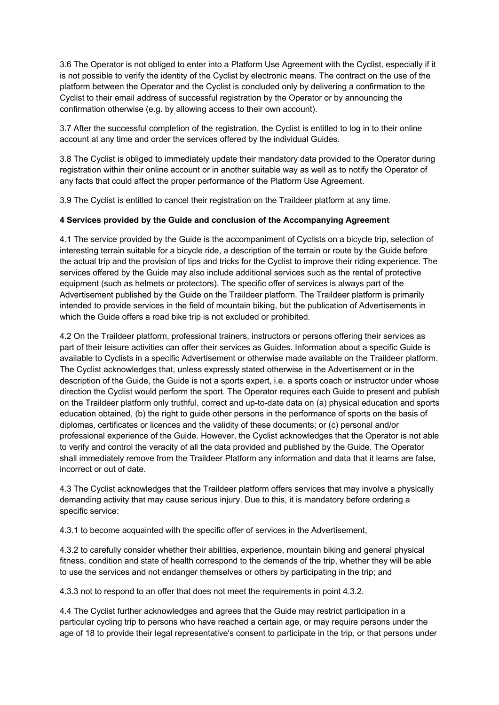3.6 The Operator is not obliged to enter into a Platform Use Agreement with the Cyclist, especially if it is not possible to verify the identity of the Cyclist by electronic means. The contract on the use of the platform between the Operator and the Cyclist is concluded only by delivering a confirmation to the Cyclist to their email address of successful registration by the Operator or by announcing the confirmation otherwise (e.g. by allowing access to their own account).

3.7 After the successful completion of the registration, the Cyclist is entitled to log in to their online account at any time and order the services offered by the individual Guides.

3.8 The Cyclist is obliged to immediately update their mandatory data provided to the Operator during registration within their online account or in another suitable way as well as to notify the Operator of any facts that could affect the proper performance of the Platform Use Agreement.

3.9 The Cyclist is entitled to cancel their registration on the Traildeer platform at any time.

### **4 Services provided by the Guide and conclusion of the Accompanying Agreement**

4.1 The service provided by the Guide is the accompaniment of Cyclists on a bicycle trip, selection of interesting terrain suitable for a bicycle ride, a description of the terrain or route by the Guide before the actual trip and the provision of tips and tricks for the Cyclist to improve their riding experience. The services offered by the Guide may also include additional services such as the rental of protective equipment (such as helmets or protectors). The specific offer of services is always part of the Advertisement published by the Guide on the Traildeer platform. The Traildeer platform is primarily intended to provide services in the field of mountain biking, but the publication of Advertisements in which the Guide offers a road bike trip is not excluded or prohibited.

4.2 On the Traildeer platform, professional trainers, instructors or persons offering their services as part of their leisure activities can offer their services as Guides. Information about a specific Guide is available to Cyclists in a specific Advertisement or otherwise made available on the Traildeer platform. The Cyclist acknowledges that, unless expressly stated otherwise in the Advertisement or in the description of the Guide, the Guide is not a sports expert, i.e. a sports coach or instructor under whose direction the Cyclist would perform the sport. The Operator requires each Guide to present and publish on the Traildeer platform only truthful, correct and up-to-date data on (a) physical education and sports education obtained, (b) the right to guide other persons in the performance of sports on the basis of diplomas, certificates or licences and the validity of these documents; or (c) personal and/or professional experience of the Guide. However, the Cyclist acknowledges that the Operator is not able to verify and control the veracity of all the data provided and published by the Guide. The Operator shall immediately remove from the Traildeer Platform any information and data that it learns are false, incorrect or out of date.

4.3 The Cyclist acknowledges that the Traildeer platform offers services that may involve a physically demanding activity that may cause serious injury. Due to this, it is mandatory before ordering a specific service:

4.3.1 to become acquainted with the specific offer of services in the Advertisement,

4.3.2 to carefully consider whether their abilities, experience, mountain biking and general physical fitness, condition and state of health correspond to the demands of the trip, whether they will be able to use the services and not endanger themselves or others by participating in the trip; and

4.3.3 not to respond to an offer that does not meet the requirements in point 4.3.2.

4.4 The Cyclist further acknowledges and agrees that the Guide may restrict participation in a particular cycling trip to persons who have reached a certain age, or may require persons under the age of 18 to provide their legal representative's consent to participate in the trip, or that persons under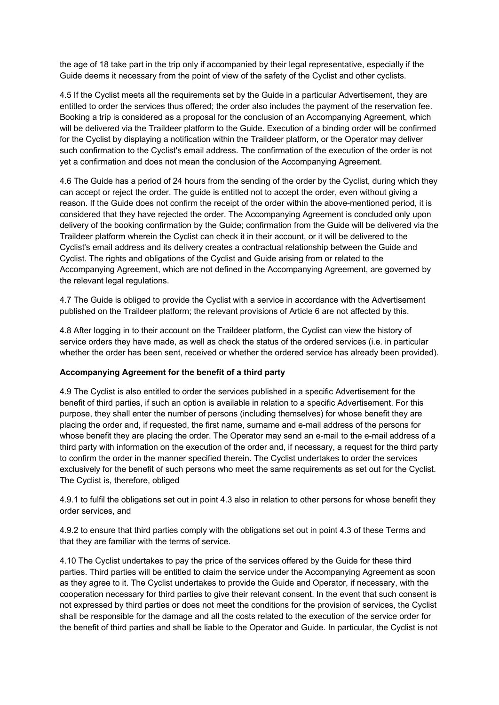the age of 18 take part in the trip only if accompanied by their legal representative, especially if the Guide deems it necessary from the point of view of the safety of the Cyclist and other cyclists.

4.5 If the Cyclist meets all the requirements set by the Guide in a particular Advertisement, they are entitled to order the services thus offered; the order also includes the payment of the reservation fee. Booking a trip is considered as a proposal for the conclusion of an Accompanying Agreement, which will be delivered via the Traildeer platform to the Guide. Execution of a binding order will be confirmed for the Cyclist by displaying a notification within the Traildeer platform, or the Operator may deliver such confirmation to the Cyclist's email address. The confirmation of the execution of the order is not yet a confirmation and does not mean the conclusion of the Accompanying Agreement.

4.6 The Guide has a period of 24 hours from the sending of the order by the Cyclist, during which they can accept or reject the order. The guide is entitled not to accept the order, even without giving a reason. If the Guide does not confirm the receipt of the order within the above-mentioned period, it is considered that they have rejected the order. The Accompanying Agreement is concluded only upon delivery of the booking confirmation by the Guide; confirmation from the Guide will be delivered via the Traildeer platform wherein the Cyclist can check it in their account, or it will be delivered to the Cyclist's email address and its delivery creates a contractual relationship between the Guide and Cyclist. The rights and obligations of the Cyclist and Guide arising from or related to the Accompanying Agreement, which are not defined in the Accompanying Agreement, are governed by the relevant legal regulations.

4.7 The Guide is obliged to provide the Cyclist with a service in accordance with the Advertisement published on the Traildeer platform; the relevant provisions of Article 6 are not affected by this.

4.8 After logging in to their account on the Traildeer platform, the Cyclist can view the history of service orders they have made, as well as check the status of the ordered services (i.e. in particular whether the order has been sent, received or whether the ordered service has already been provided).

### **Accompanying Agreement for the benefit of a third party**

4.9 The Cyclist is also entitled to order the services published in a specific Advertisement for the benefit of third parties, if such an option is available in relation to a specific Advertisement. For this purpose, they shall enter the number of persons (including themselves) for whose benefit they are placing the order and, if requested, the first name, surname and e-mail address of the persons for whose benefit they are placing the order. The Operator may send an e-mail to the e-mail address of a third party with information on the execution of the order and, if necessary, a request for the third party to confirm the order in the manner specified therein. The Cyclist undertakes to order the services exclusively for the benefit of such persons who meet the same requirements as set out for the Cyclist. The Cyclist is, therefore, obliged

4.9.1 to fulfil the obligations set out in point 4.3 also in relation to other persons for whose benefit they order services, and

4.9.2 to ensure that third parties comply with the obligations set out in point 4.3 of these Terms and that they are familiar with the terms of service.

4.10 The Cyclist undertakes to pay the price of the services offered by the Guide for these third parties. Third parties will be entitled to claim the service under the Accompanying Agreement as soon as they agree to it. The Cyclist undertakes to provide the Guide and Operator, if necessary, with the cooperation necessary for third parties to give their relevant consent. In the event that such consent is not expressed by third parties or does not meet the conditions for the provision of services, the Cyclist shall be responsible for the damage and all the costs related to the execution of the service order for the benefit of third parties and shall be liable to the Operator and Guide. In particular, the Cyclist is not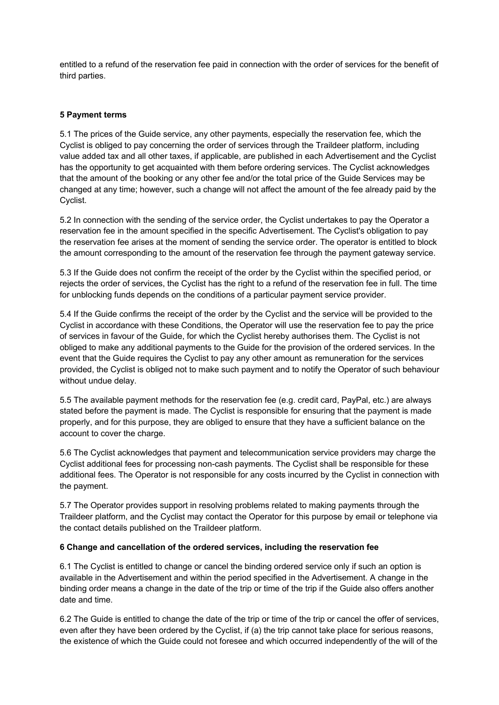entitled to a refund of the reservation fee paid in connection with the order of services for the benefit of third parties.

### **5 Payment terms**

5.1 The prices of the Guide service, any other payments, especially the reservation fee, which the Cyclist is obliged to pay concerning the order of services through the Traildeer platform, including value added tax and all other taxes, if applicable, are published in each Advertisement and the Cyclist has the opportunity to get acquainted with them before ordering services. The Cyclist acknowledges that the amount of the booking or any other fee and/or the total price of the Guide Services may be changed at any time; however, such a change will not affect the amount of the fee already paid by the Cyclist.

5.2 In connection with the sending of the service order, the Cyclist undertakes to pay the Operator a reservation fee in the amount specified in the specific Advertisement. The Cyclist's obligation to pay the reservation fee arises at the moment of sending the service order. The operator is entitled to block the amount corresponding to the amount of the reservation fee through the payment gateway service.

5.3 If the Guide does not confirm the receipt of the order by the Cyclist within the specified period, or rejects the order of services, the Cyclist has the right to a refund of the reservation fee in full. The time for unblocking funds depends on the conditions of a particular payment service provider.

5.4 If the Guide confirms the receipt of the order by the Cyclist and the service will be provided to the Cyclist in accordance with these Conditions, the Operator will use the reservation fee to pay the price of services in favour of the Guide, for which the Cyclist hereby authorises them. The Cyclist is not obliged to make any additional payments to the Guide for the provision of the ordered services. In the event that the Guide requires the Cyclist to pay any other amount as remuneration for the services provided, the Cyclist is obliged not to make such payment and to notify the Operator of such behaviour without undue delay.

5.5 The available payment methods for the reservation fee (e.g. credit card, PayPal, etc.) are always stated before the payment is made. The Cyclist is responsible for ensuring that the payment is made properly, and for this purpose, they are obliged to ensure that they have a sufficient balance on the account to cover the charge.

5.6 The Cyclist acknowledges that payment and telecommunication service providers may charge the Cyclist additional fees for processing non-cash payments. The Cyclist shall be responsible for these additional fees. The Operator is not responsible for any costs incurred by the Cyclist in connection with the payment.

5.7 The Operator provides support in resolving problems related to making payments through the Traildeer platform, and the Cyclist may contact the Operator for this purpose by email or telephone via the contact details published on the Traildeer platform.

### **6 Change and cancellation of the ordered services, including the reservation fee**

6.1 The Cyclist is entitled to change or cancel the binding ordered service only if such an option is available in the Advertisement and within the period specified in the Advertisement. A change in the binding order means a change in the date of the trip or time of the trip if the Guide also offers another date and time.

6.2 The Guide is entitled to change the date of the trip or time of the trip or cancel the offer of services, even after they have been ordered by the Cyclist, if (a) the trip cannot take place for serious reasons, the existence of which the Guide could not foresee and which occurred independently of the will of the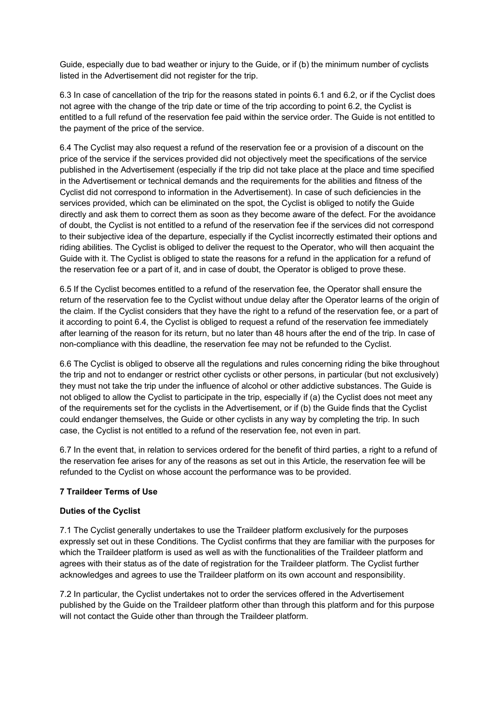Guide, especially due to bad weather or injury to the Guide, or if (b) the minimum number of cyclists listed in the Advertisement did not register for the trip.

6.3 In case of cancellation of the trip for the reasons stated in points 6.1 and 6.2, or if the Cyclist does not agree with the change of the trip date or time of the trip according to point 6.2, the Cyclist is entitled to a full refund of the reservation fee paid within the service order. The Guide is not entitled to the payment of the price of the service.

6.4 The Cyclist may also request a refund of the reservation fee or a provision of a discount on the price of the service if the services provided did not objectively meet the specifications of the service published in the Advertisement (especially if the trip did not take place at the place and time specified in the Advertisement or technical demands and the requirements for the abilities and fitness of the Cyclist did not correspond to information in the Advertisement). In case of such deficiencies in the services provided, which can be eliminated on the spot, the Cyclist is obliged to notify the Guide directly and ask them to correct them as soon as they become aware of the defect. For the avoidance of doubt, the Cyclist is not entitled to a refund of the reservation fee if the services did not correspond to their subjective idea of the departure, especially if the Cyclist incorrectly estimated their options and riding abilities. The Cyclist is obliged to deliver the request to the Operator, who will then acquaint the Guide with it. The Cyclist is obliged to state the reasons for a refund in the application for a refund of the reservation fee or a part of it, and in case of doubt, the Operator is obliged to prove these.

6.5 If the Cyclist becomes entitled to a refund of the reservation fee, the Operator shall ensure the return of the reservation fee to the Cyclist without undue delay after the Operator learns of the origin of the claim. If the Cyclist considers that they have the right to a refund of the reservation fee, or a part of it according to point 6.4, the Cyclist is obliged to request a refund of the reservation fee immediately after learning of the reason for its return, but no later than 48 hours after the end of the trip. In case of non-compliance with this deadline, the reservation fee may not be refunded to the Cyclist.

6.6 The Cyclist is obliged to observe all the regulations and rules concerning riding the bike throughout the trip and not to endanger or restrict other cyclists or other persons, in particular (but not exclusively) they must not take the trip under the influence of alcohol or other addictive substances. The Guide is not obliged to allow the Cyclist to participate in the trip, especially if (a) the Cyclist does not meet any of the requirements set for the cyclists in the Advertisement, or if (b) the Guide finds that the Cyclist could endanger themselves, the Guide or other cyclists in any way by completing the trip. In such case, the Cyclist is not entitled to a refund of the reservation fee, not even in part.

6.7 In the event that, in relation to services ordered for the benefit of third parties, a right to a refund of the reservation fee arises for any of the reasons as set out in this Article, the reservation fee will be refunded to the Cyclist on whose account the performance was to be provided.

# **7 Traildeer Terms of Use**

### **Duties of the Cyclist**

7.1 The Cyclist generally undertakes to use the Traildeer platform exclusively for the purposes expressly set out in these Conditions. The Cyclist confirms that they are familiar with the purposes for which the Traildeer platform is used as well as with the functionalities of the Traildeer platform and agrees with their status as of the date of registration for the Traildeer platform. The Cyclist further acknowledges and agrees to use the Traildeer platform on its own account and responsibility.

7.2 In particular, the Cyclist undertakes not to order the services offered in the Advertisement published by the Guide on the Traildeer platform other than through this platform and for this purpose will not contact the Guide other than through the Traildeer platform.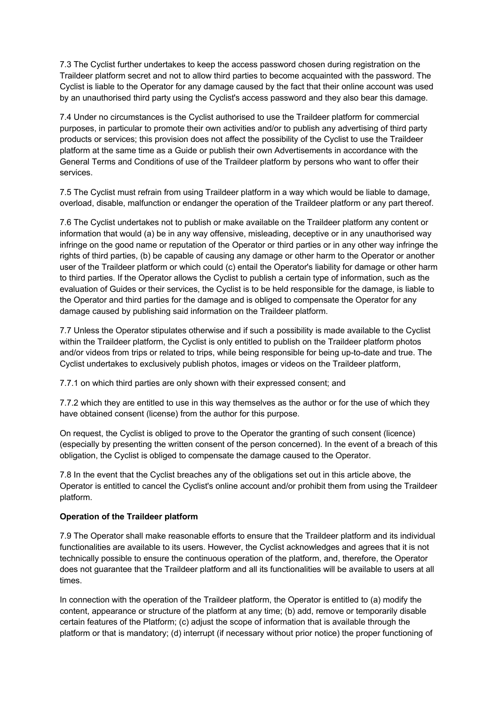7.3 The Cyclist further undertakes to keep the access password chosen during registration on the Traildeer platform secret and not to allow third parties to become acquainted with the password. The Cyclist is liable to the Operator for any damage caused by the fact that their online account was used by an unauthorised third party using the Cyclist's access password and they also bear this damage.

7.4 Under no circumstances is the Cyclist authorised to use the Traildeer platform for commercial purposes, in particular to promote their own activities and/or to publish any advertising of third party products or services; this provision does not affect the possibility of the Cyclist to use the Traildeer platform at the same time as a Guide or publish their own Advertisements in accordance with the General Terms and Conditions of use of the Traildeer platform by persons who want to offer their services.

7.5 The Cyclist must refrain from using Traildeer platform in a way which would be liable to damage, overload, disable, malfunction or endanger the operation of the Traildeer platform or any part thereof.

7.6 The Cyclist undertakes not to publish or make available on the Traildeer platform any content or information that would (a) be in any way offensive, misleading, deceptive or in any unauthorised way infringe on the good name or reputation of the Operator or third parties or in any other way infringe the rights of third parties, (b) be capable of causing any damage or other harm to the Operator or another user of the Traildeer platform or which could (c) entail the Operator's liability for damage or other harm to third parties. If the Operator allows the Cyclist to publish a certain type of information, such as the evaluation of Guides or their services, the Cyclist is to be held responsible for the damage, is liable to the Operator and third parties for the damage and is obliged to compensate the Operator for any damage caused by publishing said information on the Traildeer platform.

7.7 Unless the Operator stipulates otherwise and if such a possibility is made available to the Cyclist within the Traildeer platform, the Cyclist is only entitled to publish on the Traildeer platform photos and/or videos from trips or related to trips, while being responsible for being up-to-date and true. The Cyclist undertakes to exclusively publish photos, images or videos on the Traildeer platform,

7.7.1 on which third parties are only shown with their expressed consent; and

7.7.2 which they are entitled to use in this way themselves as the author or for the use of which they have obtained consent (license) from the author for this purpose.

On request, the Cyclist is obliged to prove to the Operator the granting of such consent (licence) (especially by presenting the written consent of the person concerned). In the event of a breach of this obligation, the Cyclist is obliged to compensate the damage caused to the Operator.

7.8 In the event that the Cyclist breaches any of the obligations set out in this article above, the Operator is entitled to cancel the Cyclist's online account and/or prohibit them from using the Traildeer platform.

### **Operation of the Traildeer platform**

7.9 The Operator shall make reasonable efforts to ensure that the Traildeer platform and its individual functionalities are available to its users. However, the Cyclist acknowledges and agrees that it is not technically possible to ensure the continuous operation of the platform, and, therefore, the Operator does not guarantee that the Traildeer platform and all its functionalities will be available to users at all times.

In connection with the operation of the Traildeer platform, the Operator is entitled to (a) modify the content, appearance or structure of the platform at any time; (b) add, remove or temporarily disable certain features of the Platform; (c) adjust the scope of information that is available through the platform or that is mandatory; (d) interrupt (if necessary without prior notice) the proper functioning of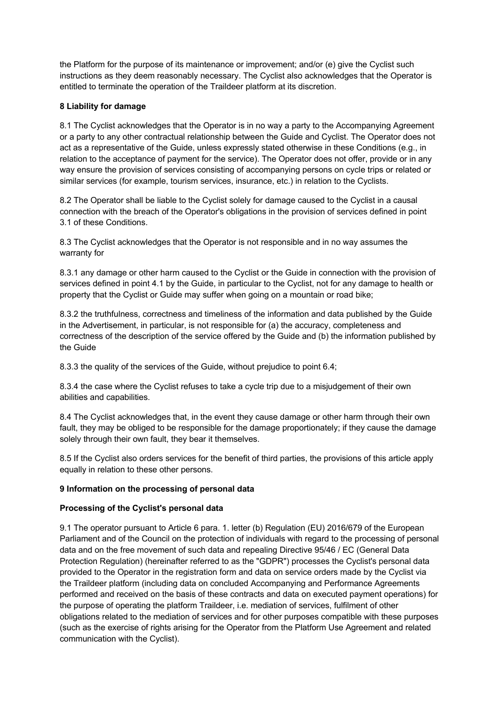the Platform for the purpose of its maintenance or improvement; and/or (e) give the Cyclist such instructions as they deem reasonably necessary. The Cyclist also acknowledges that the Operator is entitled to terminate the operation of the Traildeer platform at its discretion.

### **8 Liability for damage**

8.1 The Cyclist acknowledges that the Operator is in no way a party to the Accompanying Agreement or a party to any other contractual relationship between the Guide and Cyclist. The Operator does not act as a representative of the Guide, unless expressly stated otherwise in these Conditions (e.g., in relation to the acceptance of payment for the service). The Operator does not offer, provide or in any way ensure the provision of services consisting of accompanying persons on cycle trips or related or similar services (for example, tourism services, insurance, etc.) in relation to the Cyclists.

8.2 The Operator shall be liable to the Cyclist solely for damage caused to the Cyclist in a causal connection with the breach of the Operator's obligations in the provision of services defined in point 3.1 of these Conditions.

8.3 The Cyclist acknowledges that the Operator is not responsible and in no way assumes the warranty for

8.3.1 any damage or other harm caused to the Cyclist or the Guide in connection with the provision of services defined in point 4.1 by the Guide, in particular to the Cyclist, not for any damage to health or property that the Cyclist or Guide may suffer when going on a mountain or road bike;

8.3.2 the truthfulness, correctness and timeliness of the information and data published by the Guide in the Advertisement, in particular, is not responsible for (a) the accuracy, completeness and correctness of the description of the service offered by the Guide and (b) the information published by the Guide

8.3.3 the quality of the services of the Guide, without prejudice to point 6.4;

8.3.4 the case where the Cyclist refuses to take a cycle trip due to a misjudgement of their own abilities and capabilities.

8.4 The Cyclist acknowledges that, in the event they cause damage or other harm through their own fault, they may be obliged to be responsible for the damage proportionately; if they cause the damage solely through their own fault, they bear it themselves.

8.5 If the Cyclist also orders services for the benefit of third parties, the provisions of this article apply equally in relation to these other persons.

### **9 Information on the processing of personal data**

### **Processing of the Cyclist's personal data**

9.1 The operator pursuant to Article 6 para. 1. letter (b) Regulation (EU) 2016/679 of the European Parliament and of the Council on the protection of individuals with regard to the processing of personal data and on the free movement of such data and repealing Directive 95/46 / EC (General Data Protection Regulation) (hereinafter referred to as the "GDPR") processes the Cyclist's personal data provided to the Operator in the registration form and data on service orders made by the Cyclist via the Traildeer platform (including data on concluded Accompanying and Performance Agreements performed and received on the basis of these contracts and data on executed payment operations) for the purpose of operating the platform Traildeer, i.e. mediation of services, fulfilment of other obligations related to the mediation of services and for other purposes compatible with these purposes (such as the exercise of rights arising for the Operator from the Platform Use Agreement and related communication with the Cyclist).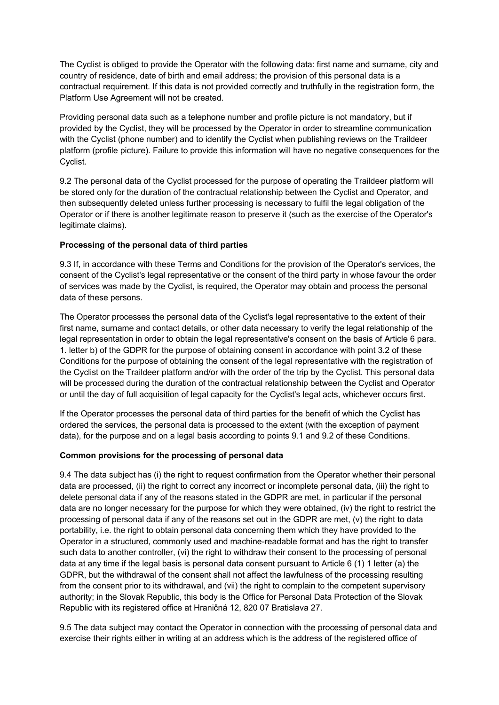The Cyclist is obliged to provide the Operator with the following data: first name and surname, city and country of residence, date of birth and email address; the provision of this personal data is a contractual requirement. If this data is not provided correctly and truthfully in the registration form, the Platform Use Agreement will not be created.

Providing personal data such as a telephone number and profile picture is not mandatory, but if provided by the Cyclist, they will be processed by the Operator in order to streamline communication with the Cyclist (phone number) and to identify the Cyclist when publishing reviews on the Traildeer platform (profile picture). Failure to provide this information will have no negative consequences for the Cyclist.

9.2 The personal data of the Cyclist processed for the purpose of operating the Traildeer platform will be stored only for the duration of the contractual relationship between the Cyclist and Operator, and then subsequently deleted unless further processing is necessary to fulfil the legal obligation of the Operator or if there is another legitimate reason to preserve it (such as the exercise of the Operator's legitimate claims).

### **Processing of the personal data of third parties**

9.3 If, in accordance with these Terms and Conditions for the provision of the Operator's services, the consent of the Cyclist's legal representative or the consent of the third party in whose favour the order of services was made by the Cyclist, is required, the Operator may obtain and process the personal data of these persons.

The Operator processes the personal data of the Cyclist's legal representative to the extent of their first name, surname and contact details, or other data necessary to verify the legal relationship of the legal representation in order to obtain the legal representative's consent on the basis of Article 6 para. 1. letter b) of the GDPR for the purpose of obtaining consent in accordance with point 3.2 of these Conditions for the purpose of obtaining the consent of the legal representative with the registration of the Cyclist on the Traildeer platform and/or with the order of the trip by the Cyclist. This personal data will be processed during the duration of the contractual relationship between the Cyclist and Operator or until the day of full acquisition of legal capacity for the Cyclist's legal acts, whichever occurs first.

If the Operator processes the personal data of third parties for the benefit of which the Cyclist has ordered the services, the personal data is processed to the extent (with the exception of payment data), for the purpose and on a legal basis according to points 9.1 and 9.2 of these Conditions.

### **Common provisions for the processing of personal data**

9.4 The data subject has (i) the right to request confirmation from the Operator whether their personal data are processed, (ii) the right to correct any incorrect or incomplete personal data, (iii) the right to delete personal data if any of the reasons stated in the GDPR are met, in particular if the personal data are no longer necessary for the purpose for which they were obtained, (iv) the right to restrict the processing of personal data if any of the reasons set out in the GDPR are met, (v) the right to data portability, i.e. the right to obtain personal data concerning them which they have provided to the Operator in a structured, commonly used and machine-readable format and has the right to transfer such data to another controller, (vi) the right to withdraw their consent to the processing of personal data at any time if the legal basis is personal data consent pursuant to Article 6 (1) 1 letter (a) the GDPR, but the withdrawal of the consent shall not affect the lawfulness of the processing resulting from the consent prior to its withdrawal, and (vii) the right to complain to the competent supervisory authority; in the Slovak Republic, this body is the Office for Personal Data Protection of the Slovak Republic with its registered office at Hraničná 12, 820 07 Bratislava 27.

9.5 The data subject may contact the Operator in connection with the processing of personal data and exercise their rights either in writing at an address which is the address of the registered office of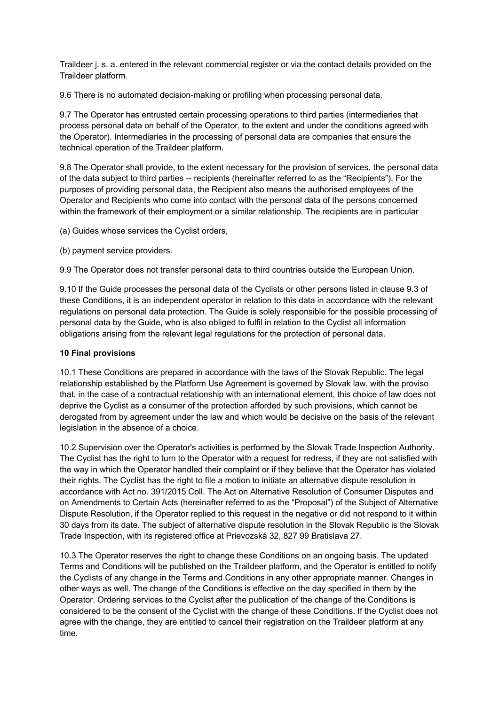Traildeer j. s. a. entered in the relevant commercial register or via the contact details provided on the Traildeer platform.

9.6 There is no automated decision-making or profiling when processing personal data.

9.7 The Operator has entrusted certain processing operations to third parties (intermediaries that process personal data on behalf of the Operator, to the extent and under the conditions agreed with the Operator). Intermediaries in the processing of personal data are companies that ensure the technical operation of the Traildeer platform.

9.8 The Operator shall provide, to the extent necessary for the provision of services, the personal data of the data subject to third parties -- recipients (hereinafter referred to as the "Recipients"). For the purposes of providing personal data, the Recipient also means the authorised employees of the Operator and Recipients who come into contact with the personal data of the persons concerned within the framework of their employment or a similar relationship. The recipients are in particular

(a) Guides whose services the Cyclist orders,

(b) payment service providers.

9.9 The Operator does not transfer personal data to third countries outside the European Union.

9.10 If the Guide processes the personal data of the Cyclists or other persons listed in clause 9.3 of these Conditions, it is an independent operator in relation to this data in accordance with the relevant regulations on personal data protection. The Guide is solely responsible for the possible processing of personal data by the Guide, who is also obliged to fulfil in relation to the Cyclist all information obligations arising from the relevant legal regulations for the protection of personal data.

### **10 Final provisions**

10.1 These Conditions are prepared in accordance with the laws of the Slovak Republic. The legal relationship established by the Platform Use Agreement is governed by Slovak law, with the proviso that, in the case of a contractual relationship with an international element, this choice of law does not deprive the Cyclist as a consumer of the protection afforded by such provisions, which cannot be derogated from by agreement under the law and which would be decisive on the basis of the relevant legislation in the absence of a choice.

10.2 Supervision over the Operator's activities is performed by the Slovak Trade Inspection Authority. The Cyclist has the right to turn to the Operator with a request for redress, if they are not satisfied with the way in which the Operator handled their complaint or if they believe that the Operator has violated their rights. The Cyclist has the right to file a motion to initiate an alternative dispute resolution in accordance with Act no. 391/2015 Coll. The Act on Alternative Resolution of Consumer Disputes and on Amendments to Certain Acts (hereinafter referred to as the "Proposal") of the Subject of Alternative Dispute Resolution, if the Operator replied to this request in the negative or did not respond to it within 30 days from its date. The subject of alternative dispute resolution in the Slovak Republic is the Slovak Trade Inspection, with its registered office at Prievozská 32, 827 99 Bratislava 27.

10.3 The Operator reserves the right to change these Conditions on an ongoing basis. The updated Terms and Conditions will be published on the Traildeer platform, and the Operator is entitled to notify the Cyclists of any change in the Terms and Conditions in any other appropriate manner. Changes in other ways as well. The change of the Conditions is effective on the day specified in them by the Operator. Ordering services to the Cyclist after the publication of the change of the Conditions is considered to be the consent of the Cyclist with the change of these Conditions. If the Cyclist does not agree with the change, they are entitled to cancel their registration on the Traildeer platform at any time.